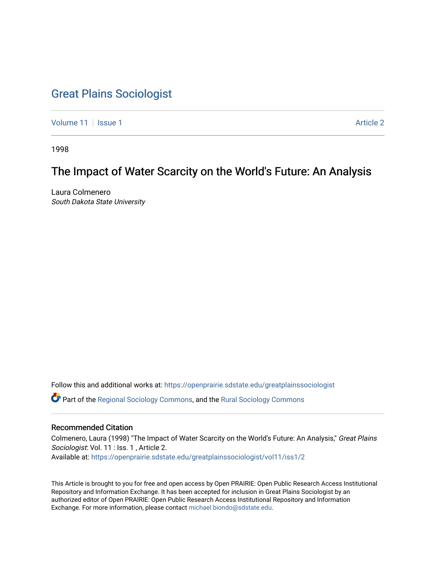# [Great Plains Sociologist](https://openprairie.sdstate.edu/greatplainssociologist)

[Volume 11](https://openprairie.sdstate.edu/greatplainssociologist/vol11) | [Issue 1](https://openprairie.sdstate.edu/greatplainssociologist/vol11/iss1) Article 2

1998

# The Impact of Water Scarcity on the World's Future: An Analysis

Laura Colmenero South Dakota State University

Follow this and additional works at: [https://openprairie.sdstate.edu/greatplainssociologist](https://openprairie.sdstate.edu/greatplainssociologist?utm_source=openprairie.sdstate.edu%2Fgreatplainssociologist%2Fvol11%2Fiss1%2F2&utm_medium=PDF&utm_campaign=PDFCoverPages) 

Part of the [Regional Sociology Commons](http://network.bepress.com/hgg/discipline/427?utm_source=openprairie.sdstate.edu%2Fgreatplainssociologist%2Fvol11%2Fiss1%2F2&utm_medium=PDF&utm_campaign=PDFCoverPages), and the [Rural Sociology Commons](http://network.bepress.com/hgg/discipline/428?utm_source=openprairie.sdstate.edu%2Fgreatplainssociologist%2Fvol11%2Fiss1%2F2&utm_medium=PDF&utm_campaign=PDFCoverPages) 

#### Recommended Citation

Colmenero, Laura (1998) "The Impact of Water Scarcity on the World's Future: An Analysis," Great Plains Sociologist: Vol. 11 : Iss. 1, Article 2. Available at: [https://openprairie.sdstate.edu/greatplainssociologist/vol11/iss1/2](https://openprairie.sdstate.edu/greatplainssociologist/vol11/iss1/2?utm_source=openprairie.sdstate.edu%2Fgreatplainssociologist%2Fvol11%2Fiss1%2F2&utm_medium=PDF&utm_campaign=PDFCoverPages)

This Article is brought to you for free and open access by Open PRAIRIE: Open Public Research Access Institutional Repository and Information Exchange. It has been accepted for inclusion in Great Plains Sociologist by an authorized editor of Open PRAIRIE: Open Public Research Access Institutional Repository and Information Exchange. For more information, please contact [michael.biondo@sdstate.edu.](mailto:michael.biondo@sdstate.edu)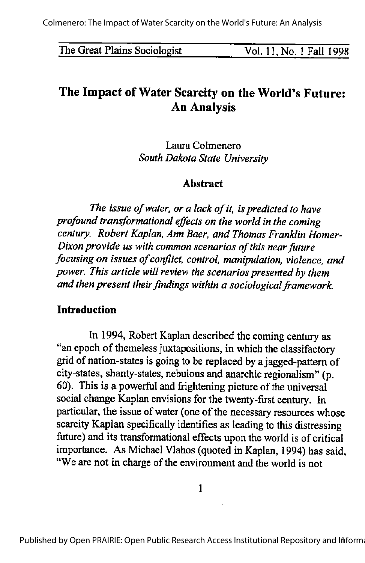The Great Plains Sociologist Vol. 11, No. 1 Fall 1998

## The Impact of Water Scarcity on the World's Future: An Analysis

Laura Colmenero South Dakota State University

#### Abstract

The issue of water, or a lack of it, is predicted to have profound transformational effects on the world in the coming century. Robert Kaplan, Ann Baer, and Thomas Franklin Homer-Dixon provide us with common scenarios of this near future focusing on issues of conflict, control, manipulation, violence, and power. This article will review the scenarios presented by them and then present their findings within a sociological framework.

## **Introduction**

In 1994, Robert Kaplan described the coming century as "an epoch of themeless juxtapositions, in which the classifactory gridof nation-states is going to be replaced bya jagged-pattern of city-states, shanty-states, nebulous and anarchic regionalism" (p. 60). This is a powerful and frightening picture of the universal social change Kaplan envisions for the twenty-first century. In particular, the issue of water (one of the necessary resources whose scarcity Kaplan specifically identifies as leading to this distressing future) and its transformational effects upon the world is of critical importance. As Michael Vlahos (quoted in Kaplan, 1994) has said, "We are not in charge of the environment and the world is not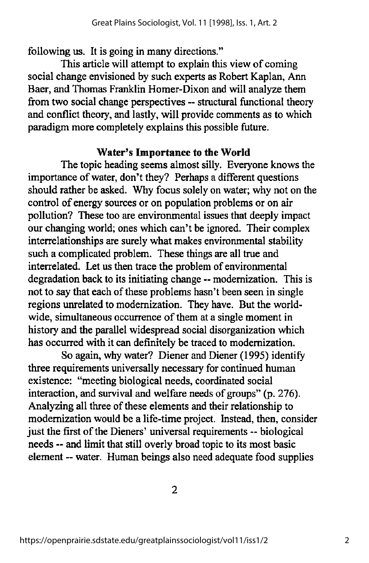following us. It is going in many directions."

This article will attempt to explain this view of coming social change envisioned by such experts as Robert Kaplan, Ann Baer, and Thomas Franklin Homer-Dixon and will analyze them from two social change perspectives - structural functional theory and conflict theory, and lastly, will provide comments as to which paradigm more completely explains this possible future.

#### Water's Importance to the World

The topic heading seems almost silly. Everyone knows the importance of water, don't they? Perhaps a different questions should rather be asked. Why focus solely on water; why not on the control of energy sources or on population problems or on air pollution? These too are environmental issues that deeply impact our changing world; ones which can't be ignored. Their complex interrelationships are surely what makes environmental stability such a complicated problem. These things are all true and interrelated. Let us then trace the problem of environmental degradation back to its initiating change - modernization. This is not to say that each of these problems hasn't been seen in single regions unrelated to modernization. They have. But the world wide, simultaneous occurrence of them at a single moment in history and the parallel widespread social disorganization which has occurred with it can definitely be traced to modernization.

So again, why water? Diener and Diener (1995) identify three requirements universally necessary for continued human existence: "meeting biological needs, coordinated social interaction, and survival and welfare needs of groups" (p. 276). Analyzing all three of these elements and their relationship to modernization would be a life-time project. Instead, then, consider just the first of the Dieners' universal requirements -- biological needs -- and limit that still overly broad topic to its most basic element —water. Human beings also need adequate food supplies

 $\overline{2}$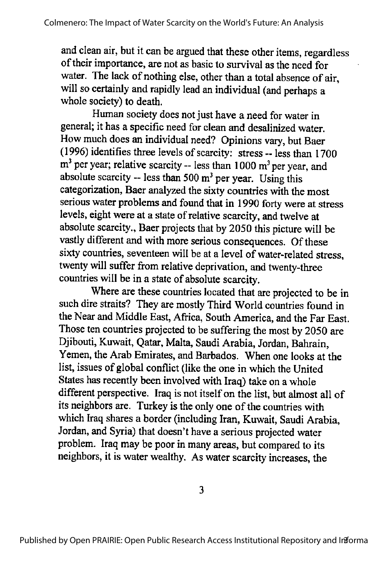and clean air, but it can be argued that these other items, regardless of their importance, are not as basic to survival as the need for water. The lack of nothing else, other than a total absence of air, will so certainly and rapidly lead an individual (and perhaps a whole society) to death.

Human society does not just have a need for water in general; it has a specific need for clean and desalinized water. How much does an individual need? Opinions vary, but Baer (1996) identifies three levels of scarcity: stress -- less than 1700  $m<sup>3</sup>$  per year; relative scarcity -- less than 1000 m<sup>3</sup> per year, and absolute scarcity -- less than 500  $m<sup>3</sup>$  per year. Using this categorization, Baer analyzed the sixty countries with the most serious water problems and found that in 1990 forty were at stress levels, eight were at a state of relative scarcity, and twelve at absolute scarcity., Baer projects that by 2050 this picture will be vastly different and with more serious consequences. Of these sixty countries, seventeen will be at a level of water-related stress, twenty will suffer from relative deprivation, and twenty-three countries will be in a state of absolute scarcity.

Where are these countries located that are projected to be in such dire straits? They are mostly Third World countries found in the Near and Middle East, Africa, South America, and the Far East. Those ten countries projected to be suffering the most by 2050 are Djibouti, Kuwait, Qatar, Malta, Saudi Arabia, Jordan, Bahrain, Yemen, the Arab Emirates, and Barbados. When one looks at the list, issues of global conflict (like the one in which the United States has recently been involved with Iraq) take on a whole different perspective. Iraq is not itself on the list, but almost all of its neighbors are. Turkey is the only one of the countries with which Iraq shares a border (including Iran, Kuwait, Saudi Arabia, Jordan, and Syria) that doesn't have a serious projected water problem. Iraq may be poor in many areas, but compared to its neighbors, it is water wealthy. As water scarcity increases, the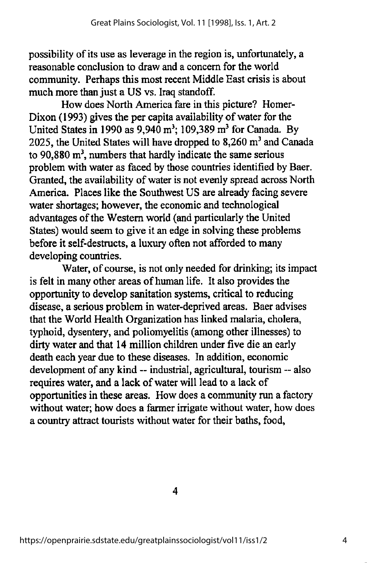possibility of its use as leverage in the region is, unfortunately, a reasonable conclusion to draw and a concern for the world community. Perhaps this most recent Middle East crisis is about much more than just a US vs. Iraq standoff.

How does North America fare in this picture? Homer-Dixon (1993) gives the per capita availability of water for the United States in 1990 as 9,940 m<sup>3</sup>; 109,389 m<sup>3</sup> for Canada. By 2025, the United States will have dropped to  $8,260 \text{ m}^3$  and Canada to  $90.880$  m<sup>3</sup>, numbers that hardly indicate the same serious problem with water as faced by those countries identified by Baer. Granted, the availability of water is not evenly spread across North America. Places like the Southwest US are already facing severe water shortages; however, the economic and technological advantages of the Western world (and particularly the United States) would seem to give it an edge in solving these problems before it self-destructs, a luxury often not afforded to many developing countries.

Water, of course, is not only needed for drinking; its impact is felt in many other areas of human life. It also provides the opportunity to develop sanitation systems, critical to reducing disease, a serious problem in water-deprived areas. Baer advises that the World Health Organization has linked malaria, cholera, typhoid, dysentery, and poliomyelitis (among other illnesses) to dirty water and that 14 million children under five die an early death each year due to these diseases. In addition, economic development of any kind -- industrial, agricultural, tourism -- also requires water, and a lack of water will lead to a lack of opportunities in these areas. How does a community run a factory without water; how does a farmer irrigate without water, how does a country attract tourists without water for their baths, food,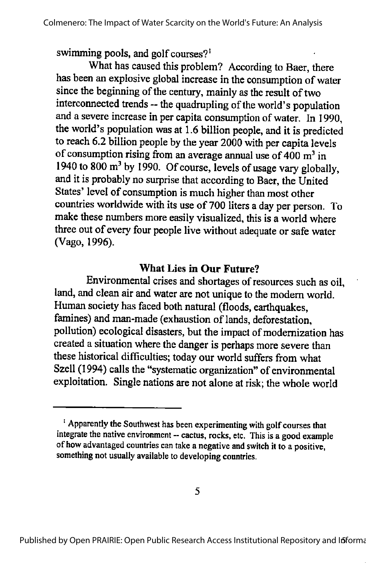swimming pools, and golf courses?'

What has caused this problem? According to Baer, there has been an explosive global increase in the consumption of water since the beginning of the century, mainly as the result of two interconnected trends -- the quadrupling of the world's population and a severe increase in percapita consumption of water. In 1990, the world's population was at 1.6 billion people, and it is predicted to reach 6.2 billion people by the year 2000 with per capita levels of consumption rising from an average annual use of  $400 \text{ m}^3$  in 1940 to 800  $\text{m}^3$  by 1990. Of course, levels of usage vary globally, and it is probably no surprise that according to Baer, the United States' level of consumption is much higher than most other countries worldwide with its use of 700 liters a day per person. To make these numbers more easily visualized, this is a world where three out of every four people live without adequate or safe water (Vago, 1996).

## What Lies in Our Future?

Environmental crises and shortages of resources such as oil, land, and clean air and water are not unique to the modern world. Human society has faced both natural (floods, earthquakes, famines) and man-made (exhaustion of lands, deforestation, pollution) ecological disasters, but the impact of modernization has created a situation where the danger is perhaps more severe than these historical difficulties; today our world suffers from what Szell (1994) calls the "systematic organization" of environmental exploitation. Singlenations are not alone at risk; the whole world

 $<sup>i</sup>$  Apparently the Southwest has been experimenting with golf courses that</sup> integrate the native environment -- cactus, rocks, etc. This is a good example of how advantaged countries can take a negative and switch it to a positive, something not usually available to developing countries.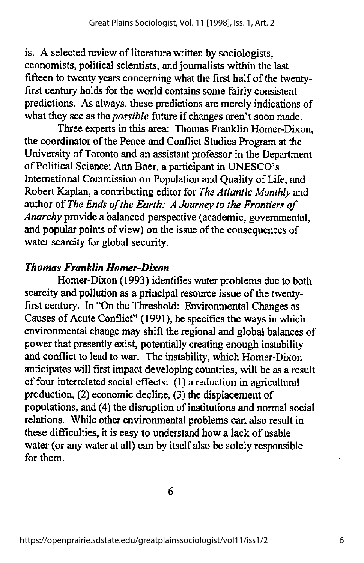is. A selected review of literature written by sociologists, economists, political scientists, and journalists within the last fifteen to twenty years concerning what the first half of the twentyfirst century holds for the world contains some fairly consistent predictions. As always, these predictions are merely indications of what they see as the *possible* future if changes aren't soon made.

Three experts in this area: Thomas Franklin Homer-Dixon, the coordinator of the Peace and Conflict Studies Program at the University of Toronto and an assistant professor in the Department of Political Science; Ann Baer, a participant in UNESCO's International Commission on Population and Quality of Life, and Robert Kaplan, a contributing editor for The Atlantic Monthly and author of The Ends of the Earth: A Journey to the Frontiers of Anarchy provide a balanced perspective (academic, governmental, and popular points of view) on the issue of the consequences of water scarcity for global security.

## Thomas Franklin Homer-Dixon

Homer-Dixon (1993) identifies water problems due to both scarcity and pollution as a principal resource issue of the twentyfirst century. In "On the Threshold: Environmental Changes as Causes of Acute Conflict" (1991), he specifies the ways in which environmental change may shift the regional and global balances of power that presently exist, potentially creating enough instability and conflict to lead to war. The instability, which Homer-Dixon anticipates will first impact developing countries, will be as a result of four interrelated social effects:  $(1)$  a reduction in agricultural production,  $(2)$  economic decline,  $(3)$  the displacement of populations, and (4) the disruption of institutions and normal social relations. While other environmental problems can also result in these difficulties, it is easy to understand how a lack of usable water (or any water at all) can by itself also be solely responsible for them.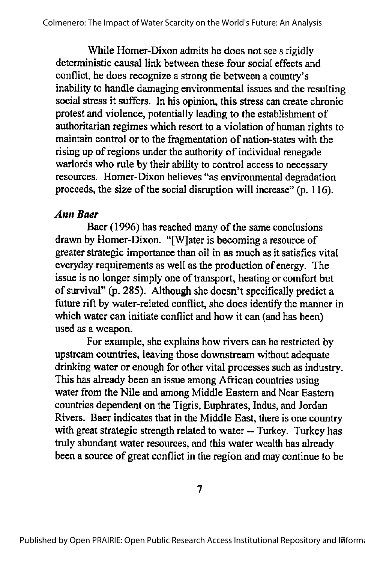While Homer-Dixon admits he does not see s rigidly deterministic causal link between these four social effects and conflict, he does recognize a strong tie between a country's inability to handle damaging environmental issues and the resulting social stress it suffers. In his opinion, this stress can create chronic protest and violence, potentially leading to the establishment of authoritarian regimes which resort to a violation of human rights to maintain control or to the fragmentation of nation-states with the rising up of regions under the authority of individual renegade warlords who rule by their ability to control access to necessary resources. Homer-Dixon believes "as environmental degradation proceeds, the size of the social disruption will increase" (p. 116).

## Ann Baer

Baer (1996) has reached many of the same conclusions drawn by Homer-Dixon. "[W]ater is becoming a resource of greater strategic importance than oil in as much as it satisfies vital everyday requirements as well as the production of energy. The issue is no longer simply one of transport, heating or comfort but of survival" (p. 285). Although she doesn't specifically predict a future riff by water-related conflict, she does identify the manner in which water can initiate conflict and how it can (and has been) used as a weapon.

For example, she explains how rivers can be restricted by upstream countries, leaving those downstream without adequate drinking water or enough for other vital processes such as industry. This has already been an issue among African countries using water from the Nile and among Middle Eastem and Near Eastern countries dependent on the Tigris, Euphrates, Indus, and Jordan Rivers. Baer indicates that in the Middle East, there is one country with great strategic strength related to water -- Turkey. Turkey has truly abundant water resources, and this water wealth has already been a source of great conflict in the region and may continue to be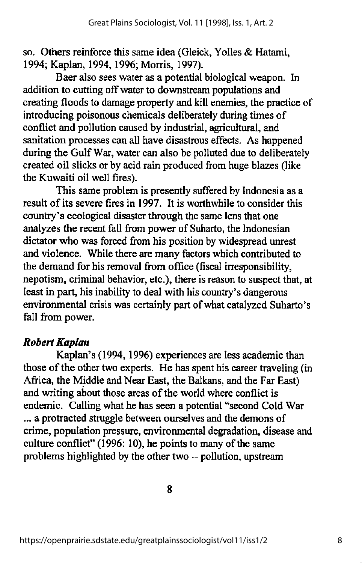so. Others reinforce this same idea (Gleick, YoIIes & Hatami, 1994; Kaplan, 1994,1996; Morris, 1997).

Baer also sees water as a potential biological weapon. In addition to cutting off water to downstream populations and creating floods to damage property and kill enemies, the practice of introducing poisonous chemicals deliberately during times of conflict and pollution caused by industrial, agricultural, and sanitation processes can all have disastrous effects. As happened during the Gulf War, water can also be polluted due to deliberately created oil slicks or by acid rain produced from huge blazes (like the Kuwaiti oil well fires).

This same problem is presently suffered by Indonesia as a result of its severe fires in 1997. It is worthwhile to consider this country's ecological disaster through the same lens that one analyzes the recent fall from power of Suharto, the Indonesian dictator who was forced from his position by widespread unrest and violence. While there are many factors which contributed to the demand for his removal from office (fiscal irresponsibility, nepotism, criminal behavior, etc.), there is reason to suspect that, at least in part, his inability to deal with his country's dangerous environmental crisis was certainly part of what catalyzed Suharto's fall from power.

## Robert Kaplan

Kaplan's (1994,1996) experiences are less academic than those of the other two experts. He has spent his career traveling (in Africa, the Middle and Near East, the Balkans, and the Far East) and writing about those areas of the world where conflict is endemic. Calling what he has seen a potential "second Cold War ... a protracted struggle between ourselves and the demons of crime, population pressure, environmental degradation, disease and culture conflict"  $(1996: 10)$ , he points to many of the same problems highlighted by the other two - pollution, upstream

 $\mathbf{R}$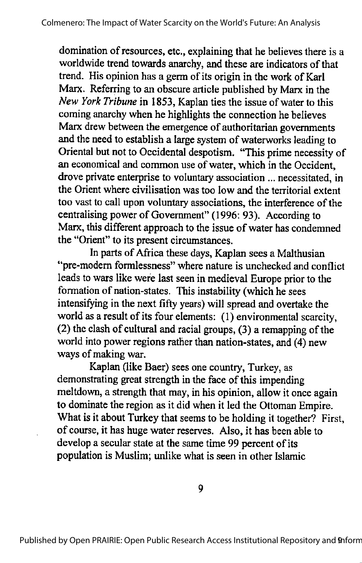domination of resources, etc., explaining that he believes there is a worldwide trend towards anarchy, and these are indicators of that trend. His opinion has a germ of its origin in the work of Karl Marx. Referring to an obscure article published by Marx in the New York Tribune in 1853, Kaplan ties the issue of water to this coming anarchywhen he highlights the connection he believes Marx drew between the emergence of authoritarian governments and the need to establish a large system of waterworks leading to Oriental but not to Occidental despotism. "This prime necessity of an economical and common use of water, which in the Occident, drove private enterprise to voluntary association... necessitated, in the Orient where civilisation was too low and the territorial extent too vast to call upon voluntary associations, the interference of the centralising power of Government" (1996: 93). According to Marx, this different approach to the issue of water has condemned the "Orient" to its present circumstances.

In parts of Africa these days, Kaplan sees a Malthusian "pre-modem formlessness" where nature is unchecked and conflict leads to wars like were last seen in medieval Europe prior to the formation of nation-states. This instability (which he sees intensifying in the next fifty years) will spread and overtake the world as a result of its four elements: (1) environmental scarcity,  $(2)$  the clash of cultural and racial groups,  $(3)$  a remapping of the world into power regions rather than nation-states, and (4) new ways of making war.

Kaplan (like Baer) sees one country, Turkey, as demonstrating great strength in the face of this impending meltdown, a strength that may, in his opinion, allow it once again to dominate the region as it did when it led the Ottoman Empire. What is it about Turkey that seems to be holding it together? First, of course, it has huge water reserves. Also, it has been able to develop a secular state at the same time 99 percent of its population is Muslim; unlike what is seen in other Islamic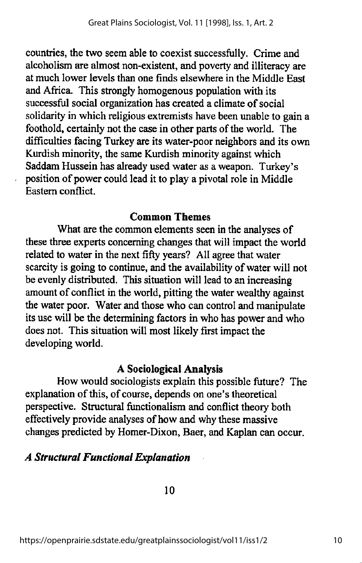countries, the two seem able to coexist successfully. Crime and alcoholism are almost non-existent, and poverty and illiteracy are at much lower levels than one finds elsewhere in the Middle East and Africa. This strongly homogenous population with its successful social organization has created a climate of social solidarity in which religious extremists have been unable to gain a foothold, certainly not the case in other parts of the world. The difficulties facing Turkey are its water-poor neighbors and its own Kurdish minority, the same Kurdish minority against which Saddam Hussein has already used water as a weapon. Turkey's position of power could lead it to play a pivotal role in Middle Eastern conflict.

#### Common Themes

What are the common elements seen in the analyses of these three experts concerning changes that will impact the world related to water in the next fifty years? All agree that water scarcity is going to continue, and the availability of water will not be evenly distributed. This situation will lead to an increasing amount of conflict in the world, pitting the water wealthy against the water poor. Water and those who can control and manipulate its use will be the determining factors in who has power and who does not. This situation will most likely first impact the developing world.

### A Sociological Analysis

How would sociologists explain this possible future? The explanation of this, of course, depends on one's theoretical perspective. Structural fimctionalism and conflict theory both effectively provide analyses of how and why these massive changes predicted by Homer-Dixon, Baer, and Kaplan can occur.

### A Structural Functional Explanation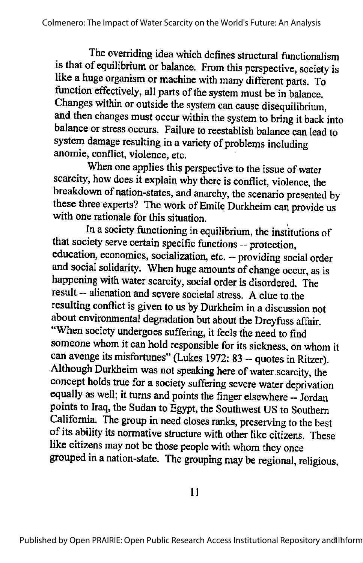The overriding idea which defines structural functipnalism is that of equilibrium or balance. From this perspective, society is like a huge organism or machine with many different parts. To function effectively, all parts of the system must be in balance. Changes within or outside the system can cause disequilibrium, and then changes must occur within the system to bring it back into balance or stress occurs. Failure to reestablish balance can lead to system damage resulting in a variety of problems including anomie, conflict, violence, etc.

When one applies this perspective to the issue of water scarcity, how does it explain why there is conflict, violence, the breakdown of nation-states, and anarchy, the scenario presented by these three experts? The work of Emile Durkheim can provide us with one rationale for this situation.

In a society functioning in equilibrium, the institutions of that society serve certain specific functions -- protection, education, economics, socialization, etc. -- providing social order and social solidarity. When huge amounts of change occur, as is happening with water scarcity, social order is disordered. The result -- alienation and severe societal stress. A clue to the resulting conflict is given to us by Durkheim in a discussion not about environmental degradation but about the Dreyfuss affair. "When society undergoes suffering, it feels the need to find someone whom it can hold responsible for its sickness, on whom it can avenge its misfortunes" (Lukes 1972: 83 ~ quotes in Ritzer). Although Durkheim was not speaking here of water scarcity, the concept holds true for a society suffering severe water deprivation equally as well; it turns and points the finger elsewhere ~ Jordan points to Iraq, the Sudan to Egypt, the Southwest US to Southern California. The group in need closes ranks, preserving to the best of its ability its normative structure with other like citizens. These like citizens may not be those people with whom they once grouped in anation-state. The grouping may be regional, religious,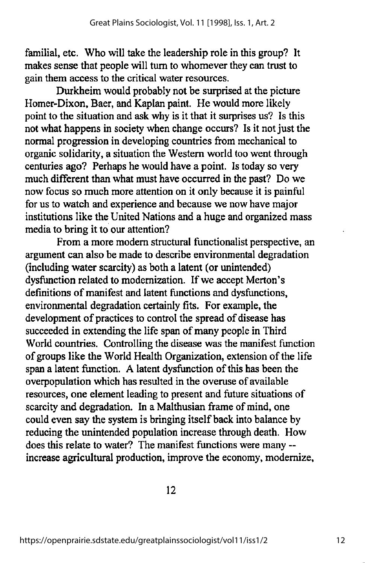familial, etc. Who will take the leadership role in this group? It makes sense that people will turn to whomever they can trust to gain them access to the critical water resources.

Durkheim would probably not be surprised at the picture Homer-Dixon, Baer, and Kaplan paint. He would more likely point to the situation and ask why is it that it surprises us? Is this not what happens in society when change occurs? Is it not just the normal progression in developing countries from mechanical to organic solidarity, a situation the Western world too went through centuries ago? Perhaps he would have a point. Is today so very much different than what must have occurred in the past? Do we now focus so much more attention on it only because it is painful for us to watch and experience and because we now have major institutions like the United Nations and a huge and organized mass media to bring it to our attention?

From a more modern structural functionalist perspective, an argument can also be made to describe environmental degradation (including water scarcity) as both a latent (or unintended) dysfunction related to modernization. If we accept Merton's definitions of manifest and latent functions and dysfunctions, environmental degradation certainly fits. For example, the development of practices to control the spread of disease has succeeded in extending the life span of many people in Third World countries. Controlling the disease was the manifest function of groups like the World Health Organization, extension ofthe life span a latent function. A latent dysfunction of this has been the overpopulation which has resulted in the ovemse of available resources, one element leading to present and future situations of scarcity and degradation. In a Malthusian frame of mind, one could even say the system is bringing itself back into balance by reducing the unintended population increase through death. How does this relate to water? The manifest functions were many -increase agricultural production, improve the economy, modemize.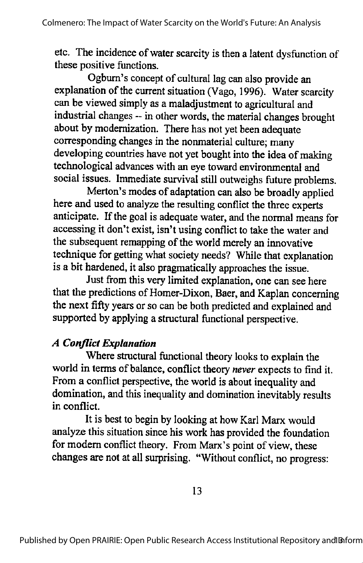etc. The incidence of water scarcity is then a latent dysfunction of these positive functions.

Ogburn's concept of cultural lag can also provide an explanation of the current situation (Vago, 1996). Water scarcity can be viewed simply as a maladjustment to agricultural and industrial changes -- in other words, the material changes brought about bymodernization. There has not yet been adequate corresponding changes in the nonmaterial culture; many developing countries have not yet bought into the idea of making technological advances with an eye toward environmental and social issues. Immediate survival still outweighs future problems.

Merton's modes of adaptation can also be broadly applied here and used to analyze the resulting conflict the three experts anticipate. If the goal is adequate water, and the normal means for accessing it don't exist, isn't using conflict to take the water and the subsequent remapping of the world merely an innovative technique for getting what society needs? While that explanation is a bit hardened, it also pragmatically approaches the issue.

Just from this very limited explanation, one can see here that the predictions of Homer-Dixon, Baer, and Kaplan concerning the next fifty years or so can be both predicted and explained and supported by applying a structural functional perspective.

## A Conflict Explanation

Where structural functional theory looks to explain the world in terms of balance, conflict theory never expects to find it. Froma conflict perspective, the world is about inequality and domination, and this inequality and domination inevitably results in conflict.

It is best to begin by looking at how Karl Marx would analyze this situation since his work has provided the foundation for modern conflict theory. From Marx's point of view, these changes are not at all surprising. "Without conflict, no progress: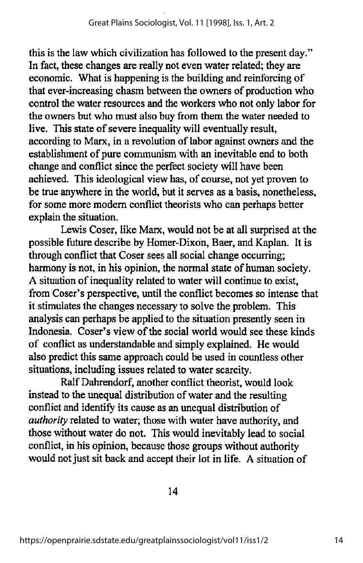this is the law which civilization has followed to the present day." In fact, these changes are really not even water related; they are economic. What is happening is the building and reinforcing of that ever-increasing chasm between the owners of production who control the water resources and the workers who not only labor for the owners but who must also buy from them the water needed to live. This state of severe inequality will eventually result, according to Marx, in a revolution of labor against owners and the establishment of pure communism with an inevitable end to both change and conflict since the perfect society will have been achieved. This ideological view has, of course, not yet proven to be true anywhere in the world, but it serves as a basis, nonetheless, for some more modem conflict theorists who can perhaps better explain the situation.

Lewis Coser, like Marx, would not be at all surprised at the possible future describe by Homer-Dixon, Baer, and Kaplan. It is through conflict that Coser sees all social change occurring; harmony is not, in his opinion, the normal state of human society. A situation of inequality related to water will continue to exist, from Coser's perspective, until the conflict becomes so intense that it stimulates the changes necessary to solve the problem. This analysis can perhaps be applied to the situation presently seen in Indonesia. Coser's view of the social world would see these kinds of conflict as understandable and simply explained. He would also predict this same approach could be used in countless other situations, including issues related to water scarcity.

Ralf Dahrendorf, another conflict theorist, would look instead to the unequal distribution of water and the resulting conflict and identify its cause as an unequal distribution of authority related to water; those with water have authority, and those without water do not. This would inevitably lead to social conflict, in his opinion, because those groups without authority would not just sit back and accept their lot in life. A situation of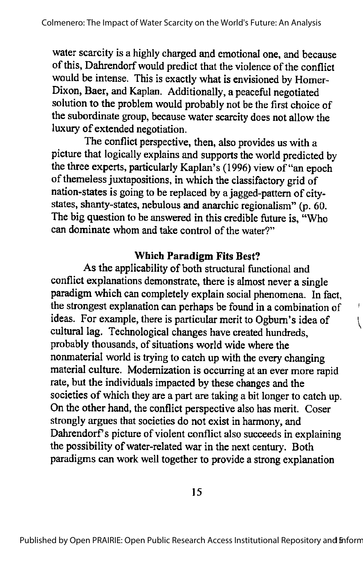water scarcity is a highly charged and emotional one, and because of this, Dahrendorfwould predict that the violence of the conflict would be intense. This is exactly what is envisioned by Homer-Dixon, Baer, and Kaplan. Additionally, a peaceful negotiated solution to the problem would probably not be the first choice of the subordinate group, because water scarcity does not allow the luxury of extended negotiation.

The conflict perspective, then, also provides us with a picture that logically explains and supports the world predicted by the three experts, particularly Kaplan's (1996) view of"an epoch of themeless juxtapositions, in which the classifactory grid of nation-states is going to be replaced by a jagged-pattern of citystates, shanty-states, nebulous and anarchic regionalism" (p. 60. The big question to be answered in this credible future is, "Who can dominate whom and take control of the water?"

### Which Paradigm Fits Best?

As the applicability of both structural functional and conflict explanations demonstrate, there is almost never a single paradigm which can completely explain social phenomena. In fact, the strongest explanation can perhaps be found in a combination of ideas. For example, there is particular merit to Ogburn's idea of cultural lag. Technological changes have created hundreds, probably thousands, of situations world wide where the nonmaterial world is trying to catch up with the every changing material culture. Modernization is occurring at an ever more rapid rate, but the individuals impacted by these changes and the societies of which they are a part are taking a bit longer to catch up. On the other hand, the conflict perspective also has merit. Coser strongly argues that societies do not exist in harmony, and Dahrendorf's picture of violent conflict also succeeds in explaining the possibility of water-related war in the next century. Both paradigms can work well together to provide a strong explanation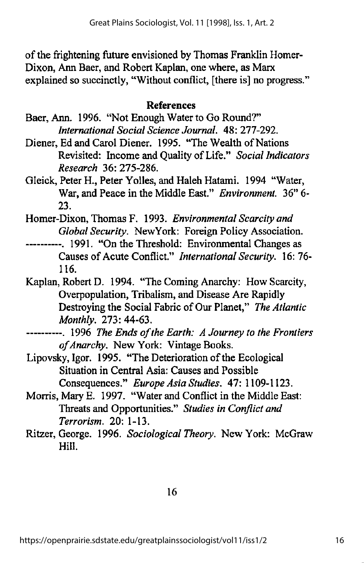of the frightening future envisioned by Thomas Franklin Homer-Dixon, Ann Baer, and Robert Kaplan, one where, as Marx explained so succinctly, "Without conflict, [there is] no progress."

### References

- Baer, Ann. 1996. "Not Enough Water to Go Round?" International Social Science Journal. 48: 211-292.
- Diener, Ed and Carol Diener. 1995. "The Wealth of Nations Revisited: Income and Quality of Life." Social Indicators Research 36: 275-286.
- Gleick, Peter H., Peter Yolles, and Haleh Hatami. 1994 "Water, War, and Peace in the Middle East." Environment. 36" 6- 23.
- Homer-Dixon, Thomas F. 1993. Environmental Scarcity and Global Security. NewYork: Foreign Policy Association.
- ---------. 1991. "On the Threshold: Environmental Changes as Causes of Acute Conflict." International Security. 16: 76-116.
- Kaplan, Robert D. 1994. "The Coming Anarchy: How Scarcity, Overpopulation, Tribalism, and Disease Are Rapidly Destroying the Social Fabric of Our Planet," The Atlantic Monthly. 273:44-63.
- $1996$  The Ends of the Earth: A Journey to the Frontiers of Anarchy. New York: Vintage Books.
- Lipovsky, Igor. 1995. "The Deterioration of the Ecological Situation in Central Asia: Causes and Possible Consequences." Europe Asia Studies. 47: 1109-1123.
- Morris, Mary E. 1997. "Water and Conflict in the Middle East: Threats and Opportunities." Studies in Conflict and Terrorism. 20: 1-13.
- Ritzer, George. 1996. Sociological Theory. New York: McGraw Hill.